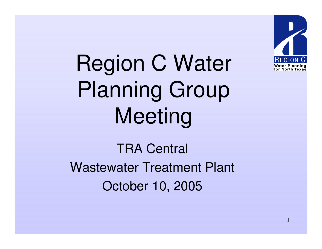

Region C Water Planning Group Meeting

TRA Central Wastewater Treatment Plant October 10, 2005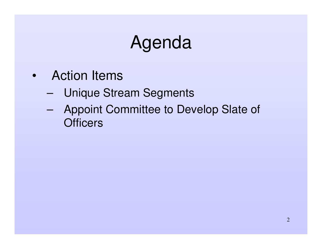# Agenda

- Action Items
	- –Unique Stream Segments
	- – Appoint Committee to Develop Slate of **Officers**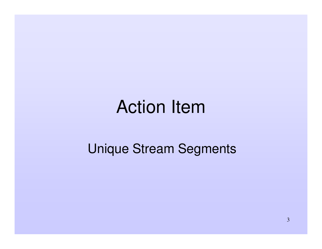## Action Item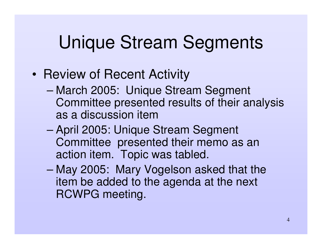- Review of Recent Activity
	- – March 2005: Unique Stream Segment Committee presented results of their analysis as a discussion item
	- – April 2005: Unique Stream Segment Committee presented their memo as an action item. Topic was tabled.
	- – May 2005: Mary Vogelson asked that the item be added to the agenda at the next RCWPG meeting.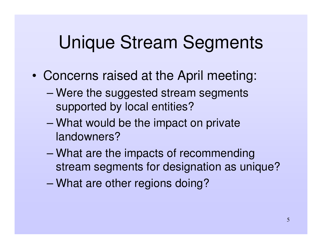- • Concerns raised at the April meeting:
	- – Were the suggested stream segments supported by local entities?
	- – What would be the impact on private landowners?
	- – What are the impacts of recommending stream segments for designation as unique?
	- –What are other regions doing?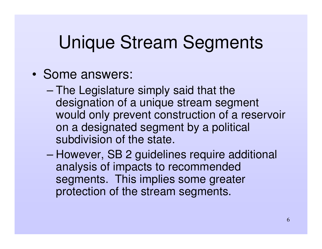- Some answers:
	- –– The Legislature simply said that the designation of <sup>a</sup> unique stream segment would only prevent construction of <sup>a</sup> reservoir on <sup>a</sup> designated segment by <sup>a</sup> political subdivision of the state.
	- – However, SB 2 guidelines require additional analysis of impacts to recommended segments. This implies some greater protection of the stream segments.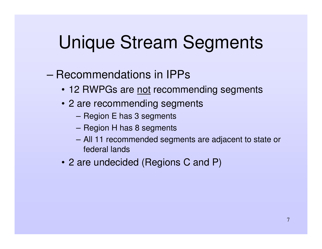#### – Recommendations in IPPs

- 12 RWPGs are not recommending segments
- 2 are recommending segments
	- **Harry Committee**  $-$  Region E has 3 segments
	- – $-$  Region H has 8 segments
	- **Harry Committee**  All 11 recommended segments are adjacent to state or federal lands
- 2 are undecided (Regions C and P)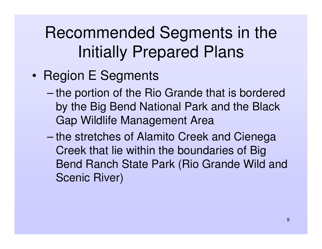- •• Region E Segments
	- the portion of the Rio Grande that is bordered by the Big Bend National Park and the Black Gap Wildlife Management Area
	- –– the stretches of Alamito Creek and Cienega Creek that lie within the boundaries of Big Bend Ranch State Park (Rio Grande Wild and Scenic River)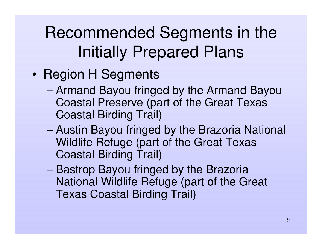- •• Region H Segments
	- –– Armand Bayou fringed by the Armand Bayou Coastal Preserve (part of the Great Texas Coastal Birding Trail)
	- –– Austin Bayou fringed by the Brazoria National Wildlife Refuge (part of the Great Texas Coastal Birding Trail)
	- –– Bastrop Bayou fringed by the Brazoria National Wildlife Refuge (part of the Great Texas Coastal Birding Trail)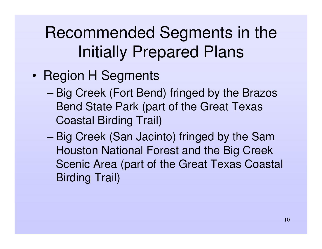- •• Region H Segments
	- Big Creek (Fort Bend) fringed by the Brazos Bend State Park (part of the Great Texas Coastal Birding Trail)
	- – Big Creek (San Jacinto) fringed by the Sam Houston National Forest and the Big Creek Scenic Area (part of the Great Texas Coastal Birding Trail)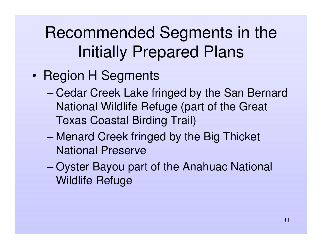- •• Region H Segments
	- Cedar Creek Lake fringed by the San Bernard National Wildlife Refuge (part of the Great Texas Coastal Birding Trail)
	- – Menard Creek fringed by the Big Thicket National Preserve
	- – Oyster Bayou part of the Anahuac National Wildlife Refuge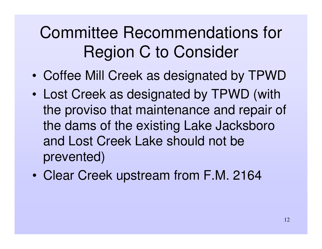## Committee Recommendations for Region C to Consider

- •Coffee Mill Creek as designated by TPWD
- • Lost Creek as designated by TPWD (with the proviso that maintenance and repair of the dams of the existing Lake Jacksboro and Lost Creek Lake should not be prevented)
- $\bullet$ • Clear Creek upstream from F.M. 2164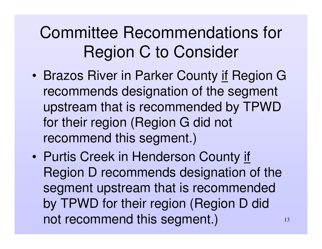## Committee Recommendations for Region C to Consider

- •• Brazos River in Parker County if Region G recommends designation of the segment upstream that is recommended by TPWD for their region (Region G did not recommend this segment.)
- •• Purtis Creek in Henderson County if Region D recommends designation of the segment upstream that is recommended by TPWD for their region (Region D did not recommend this segment.)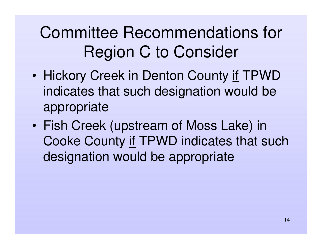## Committee Recommendations for Region C to Consider

- •• Hickory Creek in Denton County if TPWD indicates that such designation would be appropriate
- • Fish Creek (upstream of Moss Lake) in Cooke County if TPWD indicates that such designation would be appropriate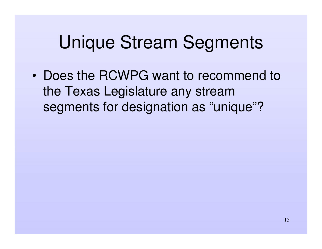• Does the RCWPG want to recommend to the Texas Legislature any stream segments for designation as "unique"?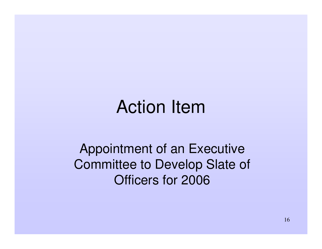## Action Item

Appointment of an Executive Committee to Develop Slate of Officers for 2006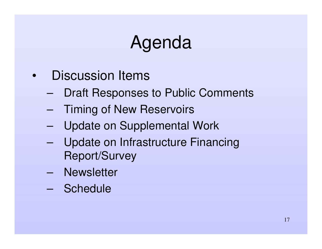# Agenda

- • Discussion Items
	- –Draft Responses to Public Comments
	- –Timing of New Reservoirs
	- –Update on Supplemental Work
	- – Update on Infrastructure Financing Report/Survey
	- Newsletter
	- Schedule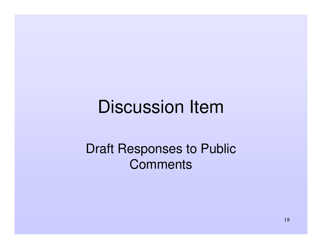## Discussion Item

#### Draft Responses to Public **Comments**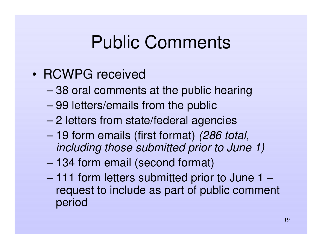## Public Comments

- RCWPG received
	- –38 oral comments at the public hearing
	- 99 letters/emails from the public
	- 2 letters from state/federal agencies
	- 19 form emails (first format) *(286 total, including those submitted prior to June 1)*
	- 134 form email (second format)
	- 111 form letters submitted prior to June 1 request to include as part of public comment period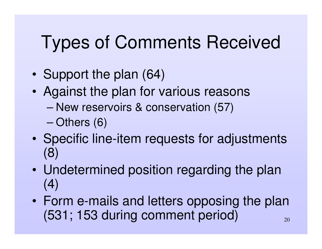# Types of Comments Received

- •• Support the plan (64)
- • Against the plan for various reasons
	- New reservoirs & conservation (57)
	- –Others (6)
- •• Specific line-item requests for adjustments (8)
- $\bullet$  Undetermined position regarding the plan (4)
- 20• Form e-mails and letters opposing the plan (531; 153 during comment period)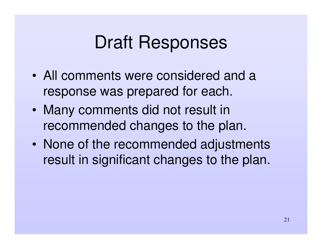## Draft Responses

- All comments were considered and a response was prepared for each.
- $\bullet$  Many comments did not result in recommended changes to the plan.
- $\bullet$  None of the recommended adjustments result in significant changes to the plan.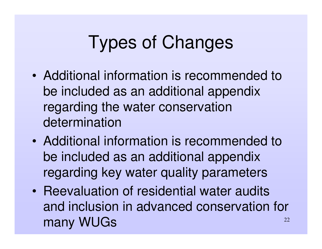# Types of Changes

- Additional information is recommended to be included as an additional appendix regarding the water conservation determination
- Additional information is recommended to be included as an additional appendix regarding key water quality parameters
- 22• Reevaluation of residential water audits and inclusion in advanced conservation for many WUGs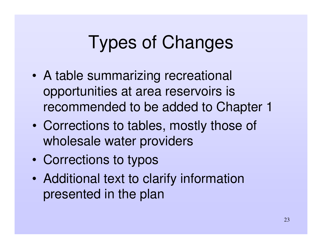# Types of Changes

- A table summarizing recreational opportunities at area reservoirs is recommended to be added to Chapter 1
- • Corrections to tables, mostly those of wholesale water providers
- •Corrections to typos
- $\bullet$  Additional text to clarify information presented in the plan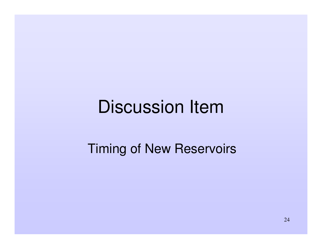## Discussion Item

#### Timing of New Reservoirs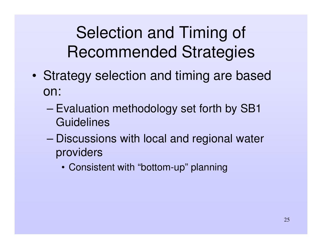Selection and Timing of Recommended Strategies

- • Strategy selection and timing are based on:
	- – Evaluation methodology set forth by SB1 **Guidelines**
	- – Discussions with local and regional water providers
		- Consistent with "bottom-up" planning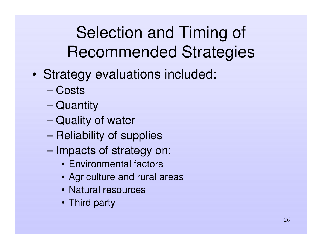Selection and Timing of Recommended Strategies

- • Strategy evaluations included:
	- Costs
	- –– Quantity
	- –– Quality of water
	- –– Reliability of supplies
	- –- Impacts of strategy on:
		- Environmental factors
		- Agriculture and rural areas
		- Natural resources
		- Third party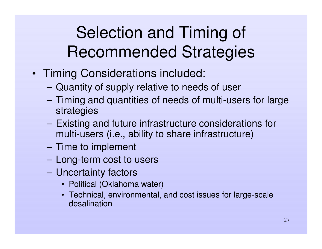## Selection and Timing of Recommended Strategies

- Timing Considerations included:
	- **Hart Committee Committee** Quantity of supply relative to needs of user
	- **Harry Committee**  Timing and quantities of needs of multi-users for large strategies
	- **However, Marketing Committee**  Existing and future infrastructure considerations for multi-users (i.e., ability to share infrastructure)
	- **However, Marketing Committee**  $-$  Time to implement
	- **Hart Committee**  $-$  Long-term cost to users
	- – Uncertainty factors
		- Political (Oklahoma water)
		- Technical, environmental, and cost issues for large-scale desalination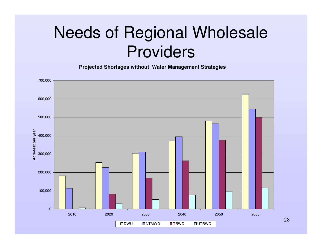## Needs of Regional Wholesale Providers

**Projected Shortages without Water Management Strategies**



28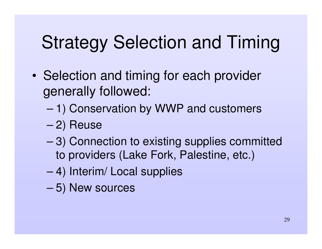# Strategy Selection and Timing

- •• Selection and timing for each provider generally followed:
	- –1) Conservation by WWP and customers
	- –2) Reuse
	- – 3) Connection to existing supplies committed to providers (Lake Fork, Palestine, etc.)
	- –4) Interim/ Local supplies
	- –5) New sources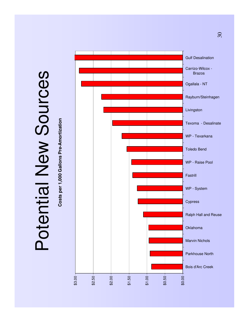# Potential New Sources Potential New Sources

Costs per 1,000 Gallons Pre-Amortization **Costs per 1,000 Gallons Pre-Amortization**



30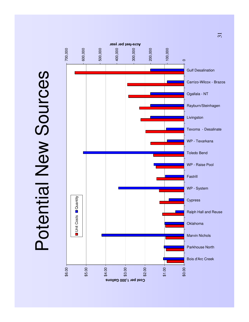Potential New Sources Potential New Sources



 $\overline{\mathcal{E}}$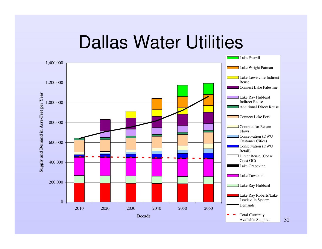## Dallas Water Utilities



32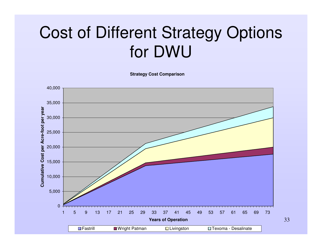## Cost of Different Strategy Options for DWU

**Strategy Cost Comparison**

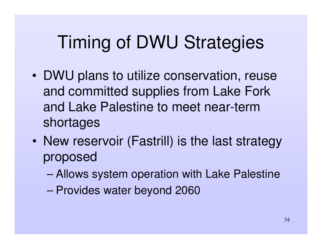# Timing of DWU Strategies

- DWU plans to utilize conservation, reuse and committed supplies from Lake Fork and Lake Palestine to meet near-termshortages
- New reservoir (Fastrill) is the last strategy proposed
	- –Allows system operation with Lake Palestine
	- –Provides water beyond 2060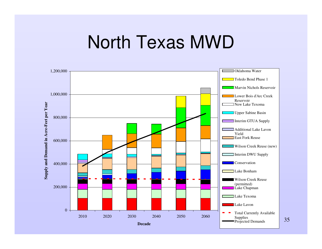## North Texas MWD



35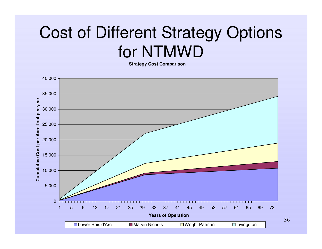## Cost of Different Strategy Options for NTMWD

**Strategy Cost Comparison**



<sup>36</sup>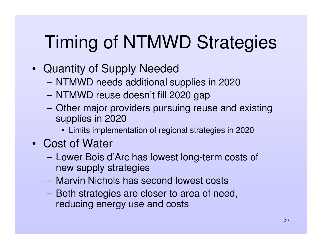# Timing of NTMWD Strategies

- Quantity of Supply Needed
	- NTMWD needs additional supplies in 2020
	- NTMWD reuse doesn't fill 2020 gap
	- – Other major providers pursuing reuse and existing supplies in 2020
		- Limits implementation of regional strategies in 2020
- Cost of Water
	- **However, Marketing Committee**  Lower Bois d'Arc has lowest long-term costs of new supply strategies
	- Marvin Nichols has second lowest costs
	- – Both strategies are closer to area of need, reducing energy use and costs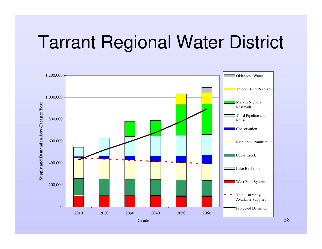#### Tarrant Regional Water District



38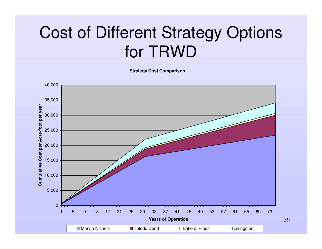#### Cost of Different Strategy Options for TRWD

**Strategy Cost Comparison**

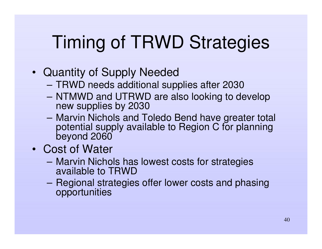# Timing of TRWD Strategies

- Quantity of Supply Needed
	- TRWD needs additional supplies after 2030
	- NTMWD and UTRWD are also looking to develop new supplies by 2030
	- **Hart Committee Committee**  Marvin Nichols and Toledo Bend have greater total potential supply available to Region C for planning beyond 2060
- Cost of Water
	- **However, Marketing Committee**  Marvin Nichols has lowest costs for strategies available to TRWD
	- **However, Marketing Committee** – Regional strategies offer lower costs and phasing opportunities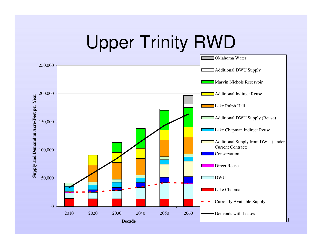# Upper Trinity RWD

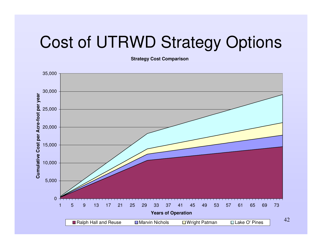#### Cost of UTRWD Strategy Options

**Strategy Cost Comparison**

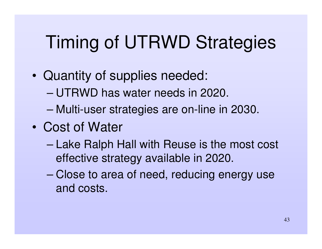# Timing of UTRWD Strategies

- • Quantity of supplies needed:
	- UTRWD has water needs in 2020.
	- –Multi-user strategies are on-line in 2030.
- Cost of Water
	- – Lake Ralph Hall with Reuse is the most cost effective strategy available in 2020.
	- – Close to area of need, reducing energy use and costs.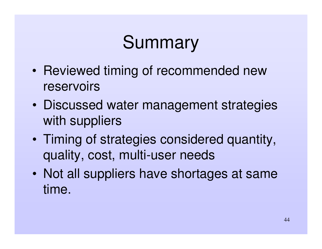# Summary

- •• Reviewed timing of recommended new reservoirs
- $\bullet$  Discussed water management strategies with suppliers
- $\bullet$  Timing of strategies considered quantity, quality, cost, multi-user needs
- $\bullet$  Not all suppliers have shortages at same time.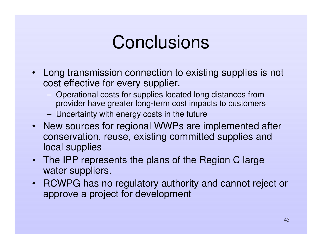#### **Conclusions**

- $\bullet$  Long transmission connection to existing supplies is not cost effective for every supplier.
	- **Hart Committee**  Operational costs for supplies located long distances from provider have greater long-term cost impacts to customers
	- **Hart Committee** Uncertainty with energy costs in the future
- New sources for regional WWPs are implemented after conservation, reuse, existing committed supplies and local supplies
- The IPP represents the plans of the Region C large water suppliers.
- RCWPG has no regulatory authority and cannot reject or approve <sup>a</sup> project for development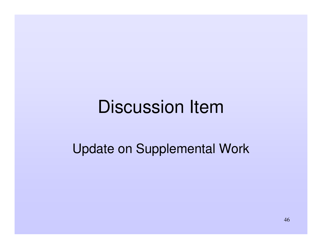### Discussion Item

Update on Supplemental Work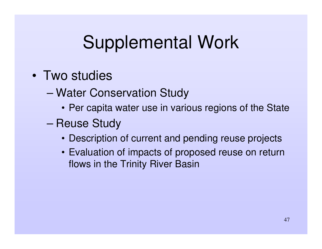# Supplemental Work

- Two studies
	- – Water Conservation Study
		- Per capita water use in various regions of the State
	- –– Reuse Study
		- Description of current and pending reuse projects
		- Evaluation of impacts of proposed reuse on return flows in the Trinity River Basin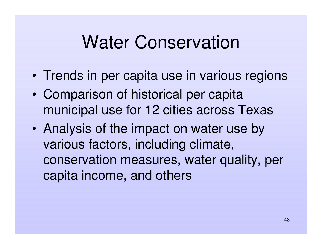### Water Conservation

- •• Trends in per capita use in various regions
- • Comparison of historical per capita municipal use for 12 cities across Texas
- • Analysis of the impact on water use by various factors, including climate, conservation measures, water quality, per capita income, and others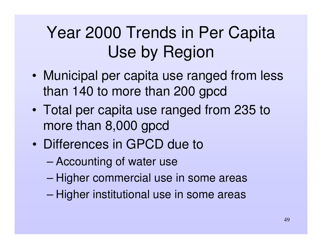## Year 2000 Trends in Per Capita Use by Region

- • Municipal per capita use ranged from less than 140 to more than 200 gpcd
- $\bullet$  Total per capita use ranged from 235 to more than 8,000 gpcd
- Differences in GPCD due to
	- –Accounting of water use
	- –– Higher commercial use in some areas
	- –– Higher institutional use in some areas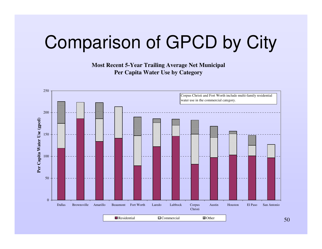# Comparison of GPCD by City

**Most Recent 5-Year Trailing Average Net Municipal Per Capita Water Use by Category**

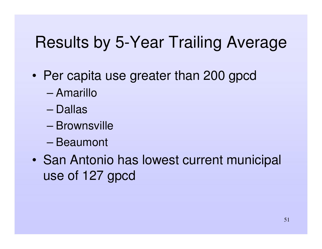#### Results by 5-Year Trailing Average

- • Per capita use greater than 200 gpcd
	- Amarillo
	- Dallas
	- Brownsville
	- Beaumont
- • San Antonio has lowest current municipal use of 127 gpcd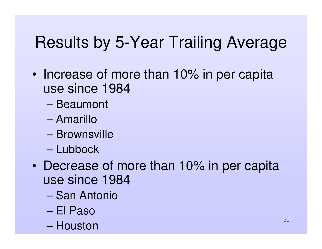#### Results by 5-Year Trailing Average

- Increase of more than 10% in per capita use since 1984
	- Beaumont
	- Amarillo
	- Brownsville
	- Lubbock
- Decrease of more than 10% in per capita use since 1984
	- San Antonio
	- El Paso
	- Houston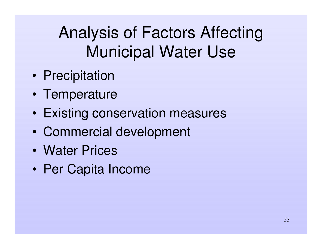# Analysis of Factors Affecting Municipal Water Use

- •• Precipitation
- •• Temperature
- •Existing conservation measures
- •Commercial development
- Water Prices
- •Per Capita Income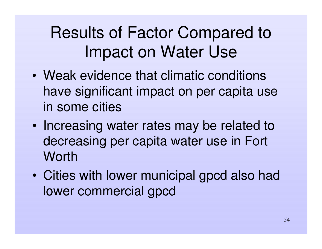## Results of Factor Compared to Impact on Water Use

- Weak evidence that climatic conditions have significant impact on per capita use in some cities
- •• Increasing water rates may be related to decreasing per capita water use in Fort **Worth**
- $\bullet$  Cities with lower municipal gpcd also had lower commercial gpcd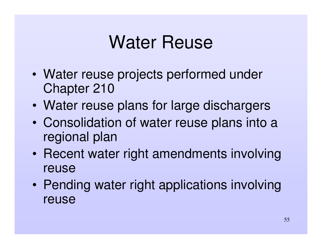# Water Reuse

- • Water reuse projects performed under Chapter 210
- $\bullet$ Water reuse plans for large dischargers
- • Consolidation of water reuse plans into <sup>a</sup> regional plan
- $\bullet$ • Recent water right amendments involving reuse
- $\bullet$ • Pending water right applications involving reuse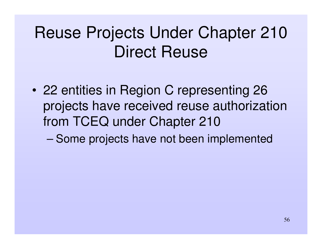#### Reuse Projects Under Chapter 210 Direct Reuse

• 22 entities in Region C representing 26 projects have received reuse authorization from TCEQ under Chapter 210

–Some projects have not been implemented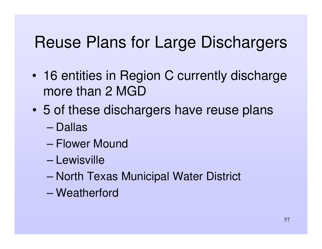#### Reuse Plans for Large Dischargers

- • 16 entities in Region C currently discharge more than 2 MGD
- $\bullet$  5 of these dischargers have reuse plans
	- Dallas
	- Flower Mound
	- Lewisville
	- –– North Texas Municipal Water District
	- Weatherford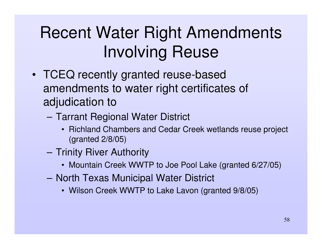# Recent Water Right Amendments Involving Reuse

- TCEQ recently granted reuse-based amendments to water right certificates of adjudication to
	- – Tarrant Regional Water District
		- Richland Chambers and Cedar Creek wetlands reuse project (granted 2/8/05)
	- **Hart Committee** — Trinity River Authority
		- Mountain Creek WWTP to Joe Pool Lake (granted 6/27/05)
	- **Harry Committee** – North Texas Municipal Water District
		- Wilson Creek WWTP to Lake Lavon (granted 9/8/05)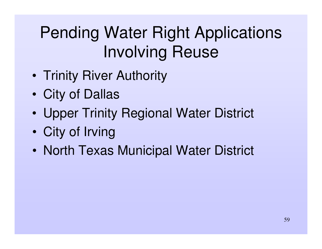- •• Trinity River Authority
- •City of Dallas
- •Upper Trinity Regional Water District
- •City of Irving
- $\bullet$ • North Texas Municipal Water District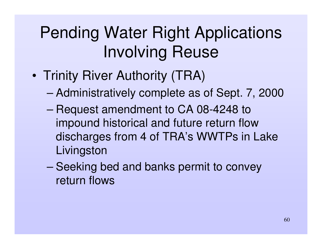- •• Trinity River Authority (TRA)
	- –Administratively complete as of Sept. 7, 2000
	- –– Request amendment to CA 08-4248 to impound historical and future return flow discharges from 4 of TRA's WWTPs in Lake **Livingston**
	- –– Seeking bed and banks permit to convey return flows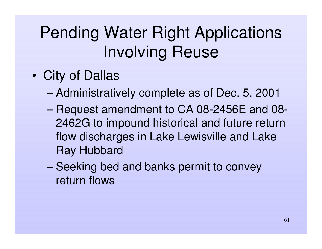- • City of Dallas
	- –Administratively complete as of Dec. 5, 2001
	- – Request amendment to CA 08-2456E and 08- 2462G to impound historical and future return flow discharges in Lake Lewisville and Lake Ray Hubbard
	- –– Seeking bed and banks permit to convey return flows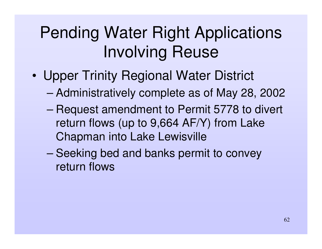- • Upper Trinity Regional Water District
	- –Administratively complete as of May 28, 2002
	- –– Request amendment to Permit 5778 to divert return flows (up to 9,664 AF/Y) from Lake Chapman into Lake Lewisville
	- –– Seeking bed and banks permit to convey return flows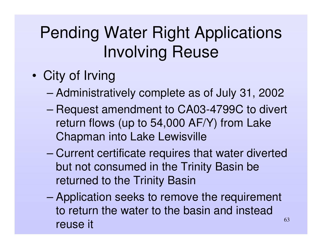- • City of Irving
	- –Administratively complete as of July 31, 2002
	- – Request amendment to CA03-4799C to divert return flows (up to 54,000 AF/Y) from Lake Chapman into Lake Lewisville
	- – Current certificate requires that water diverted but not consumed in the Trinity Basin be returned to the Trinity Basin
	- 63– Application seeks to remove the requirement to return the water to the basin and instead reuse it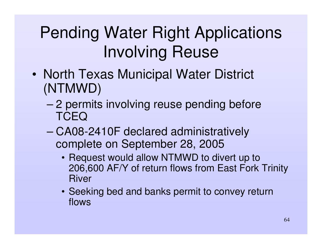- •• North Texas Municipal Water District (NTMWD)
	- – 2 permits involving reuse pending before **TCEQ**
	- – CA08-2410F declared administratively complete on September 28, 2005
		- Request would allow NTMWD to divert up to 206,600 AF/Y of return flows from East Fork Trinity River
		- Seeking bed and banks permit to convey return flows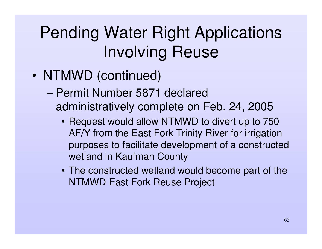- NTMWD (continued)
	- Permit Number 5871 declared administratively complete on Feb. 24, 2005
		- Request would allow NTMWD to divert up to 750 AF/Y from the East Fork Trinity River for irrigation purposes to facilitate development of <sup>a</sup> constructed wetland in Kaufman County
		- The constructed wetland would become part of the NTMWD East Fork Reuse Project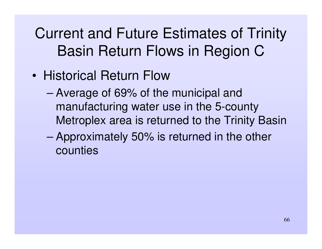Current and Future Estimates of Trinity Basin Return Flows in Region C

- Historical Return Flow
	- – Average of 69% of the municipal and manufacturing water use in the 5-county Metroplex area is returned to the Trinity Basin
	- – Approximately 50% is returned in the other counties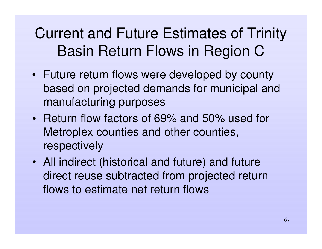#### Current and Future Estimates of Trinity Basin Return Flows in Region C

- Future return flows were developed by county based on projected demands for municipal and manufacturing purposes
- Return flow factors of 69% and 50% used for Metroplex counties and other counties, respectively
- All indirect (historical and future) and future direct reuse subtracted from projected return flows to estimate net return flows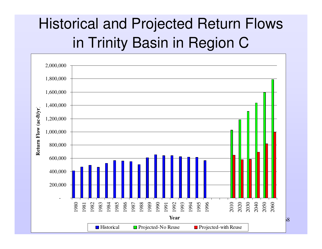#### Historical and Projected Return Flows in Trinity Basin in Region C

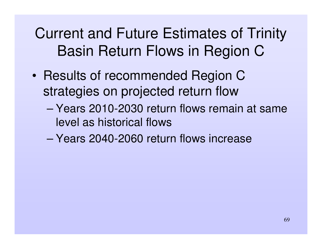Current and Future Estimates of Trinity Basin Return Flows in Region C

- •• Results of recommended Region C strategies on projected return flow
	- Years 2010-2030 return flows remain at same level as historical flows
	- Years 2040-2060 return flows increase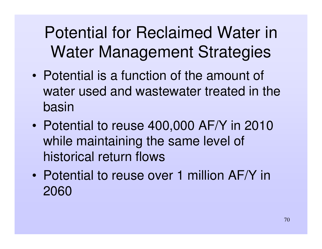## Potential for Reclaimed Water in Water Management Strategies

- Potential is a function of the amount of water used and wastewater treated in the basin
- • Potential to reuse 400,000 AF/Y in 2010 while maintaining the same level of historical return flows
- Potential to reuse over 1 million AF/Y in 2060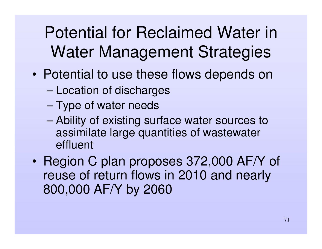### Potential for Reclaimed Water in Water Management Strategies

- • Potential to use these flows depends on
	- –Location of discharges
	- –– Type of water needs
	- – Ability of existing surface water sources to assimilate large quantities of wastewater effluent
- •• Region C plan proposes 372,000 AF/Y of reuse of return flows in 2010 and nearly 800,000 AF/Y by 2060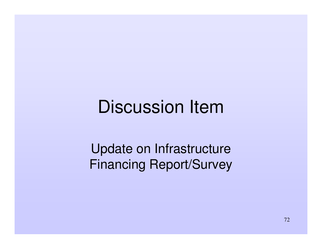# Discussion Item

Update on Infrastructure Financing Report/Survey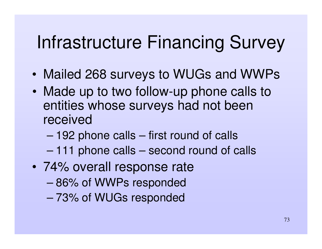#### Infrastructure Financing Survey

- •Mailed 268 surveys to WUGs and WWPs
- •• Made up to two follow-up phone calls to entities whose surveys had not been received
	- –192 phone calls – first round of calls
	- –111 phone calls – second round of calls
- 74% overall response rate
	- 86% of WWPs responded
	- 73% of WUGs responded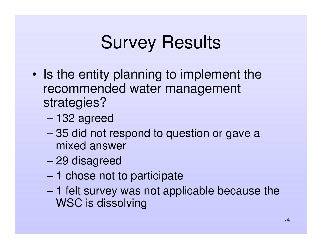## Survey Results

- •• Is the entity planning to implement the recommended water management strategies?
	- –132 agreed
	- – 35 did not respond to question or gave <sup>a</sup> mixed answer
	- –29 disagreed
	- –1 chose not to participate
	- – 1 felt survey was not applicable because the WSC is dissolving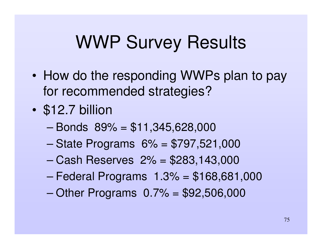#### WWP Survey Results

- How do the responding WWPs plan to pay for recommended strategies?
- $\bullet$ • \$12.7 billion
	- Bonds 89% <sup>=</sup> \$11,345,628,000
	- –State Programs 6% <sup>=</sup> \$797,521,000
	- Cash Reserves 2% <sup>=</sup> \$283,143,000
	- –Federal Programs 1.3% <sup>=</sup> \$168,681,000
	- –Other Programs 0.7% <sup>=</sup> \$92,506,000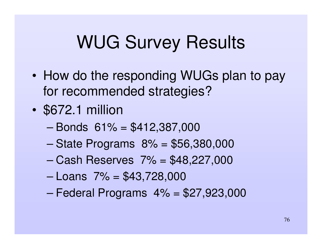#### WUG Survey Results

- How do the responding WUGs plan to pay for recommended strategies?
- $\bullet$ • \$672.1 million
	- Bonds 61% <sup>=</sup> \$412,387,000
	- –State Programs 8% <sup>=</sup> \$56,380,000
	- Cash Reserves 7% <sup>=</sup> \$48,227,000
	- Loans 7% <sup>=</sup> \$43,728,000
	- –Federal Programs 4% <sup>=</sup> \$27,923,000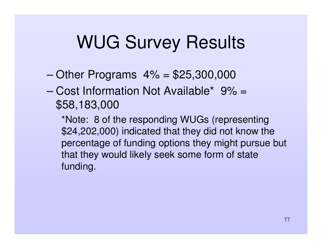#### WUG Survey Results

- –Other Programs 4% <sup>=</sup> \$25,300,000
- Cost Information Not Available\* 9% <sup>=</sup> \$58,183,000

\*Note: 8 of the responding WUGs (representing \$24,202,000) indicated that they did not know the percentage of funding options they might pursue but that they would likely seek some form of state funding.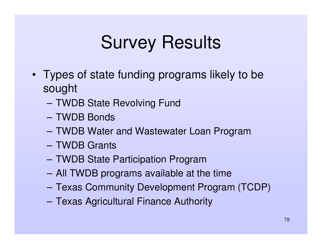## Survey Results

- Types of state funding programs likely to be sought
	- TWDB State Revolving Fund
	- TWDB Bonds
	- TWDB Water and Wastewater Loan Program
	- TWDB Grants
	- TWDB State Participation Program
	- All TWDB programs available at the time
	- **However, Marketing Committee** Texas Community Development Program (TCDP)
	- **However, Marketing** Texas Agricultural Finance Authority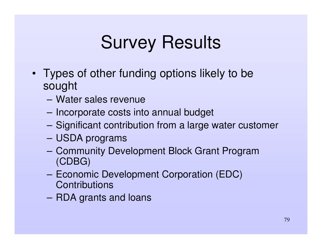# Survey Results

- Types of other funding options likely to be sought
	- Water sales revenue
	- **Hart Committee Committee** – Incorporate costs into annual budget
	- **Harry Committee** Significant contribution from <sup>a</sup> large water customer
	- USDA programs
	- **However, Marketing Committee**  Community Development Block Grant Program (CDBG)
	- **Harry Committee** - Economic Development Corporation (EDC) **Contributions**
	- RDA grants and loans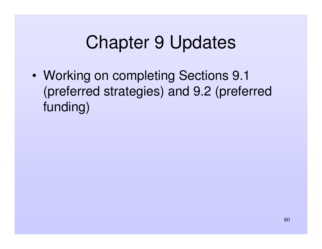#### Chapter 9 Updates

• Working on completing Sections 9.1 (preferred strategies) and 9.2 (preferred funding)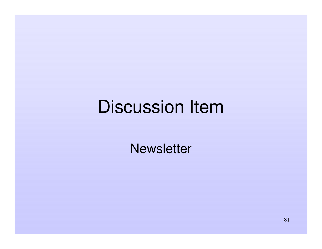#### Discussion Item

**Newsletter**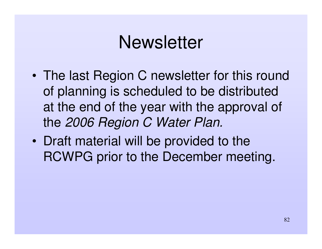#### **Newsletter**

- • The last Region C newsletter for this round of planning is scheduled to be distributed at the end of the year with the approval of the *2006 Region C Water Plan.*
- $\bullet$ • Draft material will be provided to the RCWPG prior to the December meeting.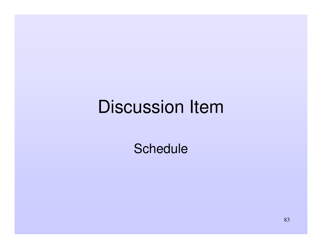#### Discussion Item

**Schedule**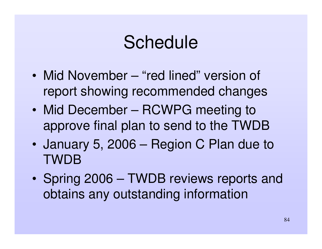#### Schedule

- Mid November "red lined" version of report showing recommended changes
- Mid December RCWPG meeting to approve final plan to send to the TWDB
- $\bullet$  January 5, 2006 – Region C Plan due to TWDB
- $\bullet$ • Spring 2006 – TWDB reviews reports and obtains any outstanding information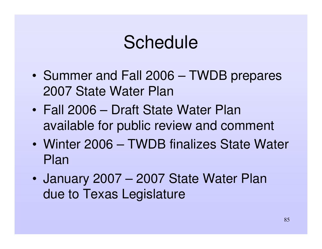#### Schedule

- •• Summer and Fall 2006 – TWDB prepares 2007 State Water Plan
- Fall 2006 Draft State Water Plan available for public review and comment
- Winter 2006 TWDB finalizes State Water Plan
- $\bullet$  January 2007 – 2007 State Water Plan due to Texas Legislature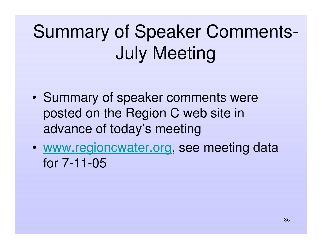# Summary of Speaker Comments-July Meeting

- •• Summary of speaker comments were posted on the Region C web site in advance of today's meeting
- • www.regioncwater.org, see meeting data for 7-11-05